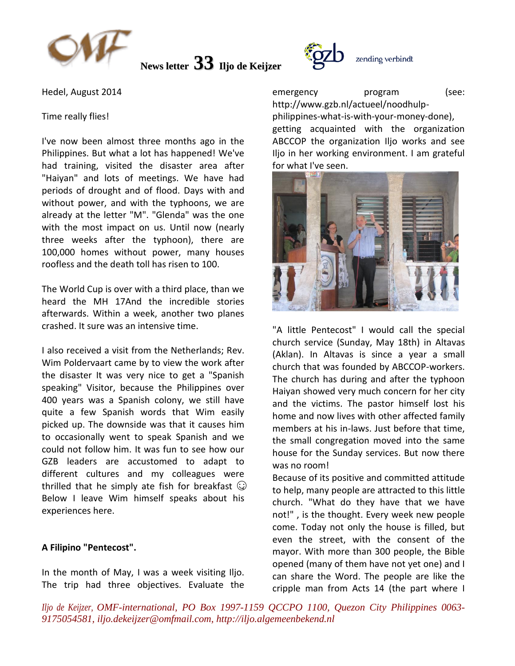

**News letter 33 Iljo de Keijzer**

Hedel, August 2014

### Time really flies!

I've now been almost three months ago in the Philippines. But what a lot has happened! We've had training, visited the disaster area after "Haiyan" and lots of meetings. We have had periods of drought and of flood. Days with and without power, and with the typhoons, we are already at the letter "M". "Glenda" was the one with the most impact on us. Until now (nearly three weeks after the typhoon), there are 100,000 homes without power, many houses roofless and the death toll has risen to 100.

The World Cup is over with a third place, than we heard the MH 17And the incredible stories afterwards. Within a week, another two planes crashed. It sure was an intensive time.

I also received a visit from the Netherlands; Rev. Wim Poldervaart came by to view the work after the disaster It was very nice to get a "Spanish speaking" Visitor, because the Philippines over 400 years was a Spanish colony, we still have quite a few Spanish words that Wim easily picked up. The downside was that it causes him to occasionally went to speak Spanish and we could not follow him. It was fun to see how our GZB leaders are accustomed to adapt to different cultures and my colleagues were thrilled that he simply ate fish for breakfast  $\mathbb{Q}$ Below I leave Wim himself speaks about his experiences here.

# **A Filipino "Pentecost".**

In the month of May, I was a week visiting Iljo. The trip had three objectives. Evaluate the



emergency program (see: http://www.gzb.nl/actueel/noodhulpphilippines-what-is-with-your-money-done), getting acquainted with the organization ABCCOP the organization Iljo works and see Iljo in her working environment. I am grateful for what I've seen.



"A little Pentecost" I would call the special church service (Sunday, May 18th) in Altavas (Aklan). In Altavas is since a year a small church that was founded by ABCCOP-workers. The church has during and after the typhoon Haiyan showed very much concern for her city and the victims. The pastor himself lost his home and now lives with other affected family members at his in-laws. Just before that time, the small congregation moved into the same house for the Sunday services. But now there was no room!

Because of its positive and committed attitude to help, many people are attracted to this little church. "What do they have that we have not!" , is the thought. Every week new people come. Today not only the house is filled, but even the street, with the consent of the mayor. With more than 300 people, the Bible opened (many of them have not yet one) and I can share the Word. The people are like the cripple man from Acts 14 (the part where I

*Iljo de Keijzer, OMF-international, PO Box 1997-1159 QCCPO 1100, Quezon City Philippines 0063- 9175054581, iljo.dekeijzer@omfmail.com, http://iljo.algemeenbekend.nl*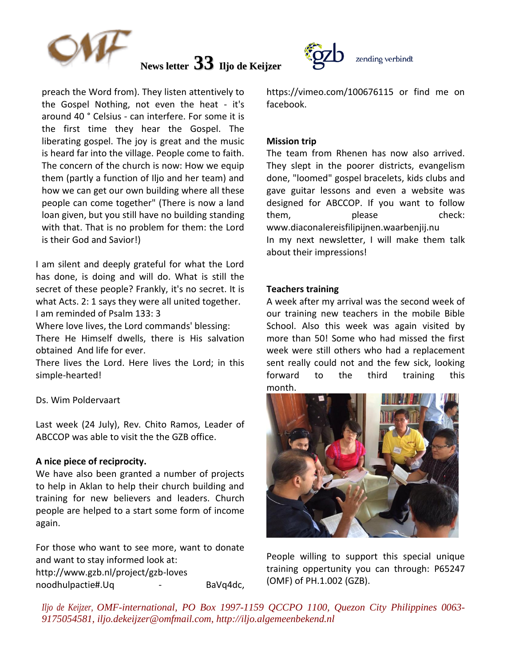

**News letter 33 Iljo de Keijzer**

preach the Word from). They listen attentively to the Gospel Nothing, not even the heat - it's around 40 ° Celsius - can interfere. For some it is the first time they hear the Gospel. The liberating gospel. The joy is great and the music is heard far into the village. People come to faith. The concern of the church is now: How we equip them (partly a function of Iljo and her team) and how we can get our own building where all these people can come together" (There is now a land loan given, but you still have no building standing with that. That is no problem for them: the Lord is their God and Savior!)

I am silent and deeply grateful for what the Lord has done, is doing and will do. What is still the secret of these people? Frankly, it's no secret. It is what Acts. 2: 1 says they were all united together. I am reminded of Psalm 133: 3

Where love lives, the Lord commands' blessing:

There He Himself dwells, there is His salvation obtained And life for ever.

There lives the Lord. Here lives the Lord; in this simple-hearted!

Ds. Wim Poldervaart

Last week (24 July), Rev. Chito Ramos, Leader of ABCCOP was able to visit the the GZB office.

### **A nice piece of reciprocity.**

We have also been granted a number of projects to help in Aklan to help their church building and training for new believers and leaders. Church people are helped to a start some form of income again.

For those who want to see more, want to donate and want to stay informed look at: http://www.gzb.nl/project/gzb-loves noodhulpactie#.Uq - BaVq4dc, https://vimeo.com/100676115 or find me on facebook.

#### **Mission trip**

The team from Rhenen has now also arrived. They slept in the poorer districts, evangelism done, "loomed" gospel bracelets, kids clubs and gave guitar lessons and even a website was designed for ABCCOP. If you want to follow them. **please check:** www.diaconalereisfilipijnen.waarbenjij.nu In my next newsletter, I will make them talk about their impressions!

#### **Teachers training**

A week after my arrival was the second week of our training new teachers in the mobile Bible School. Also this week was again visited by more than 50! Some who had missed the first week were still others who had a replacement sent really could not and the few sick, looking forward to the third training this month.



People willing to support this special unique training oppertunity you can through: P65247 (OMF) of PH.1.002 (GZB).

*Iljo de Keijzer, OMF-international, PO Box 1997-1159 QCCPO 1100, Quezon City Philippines 0063- 9175054581, iljo.dekeijzer@omfmail.com, http://iljo.algemeenbekend.nl*